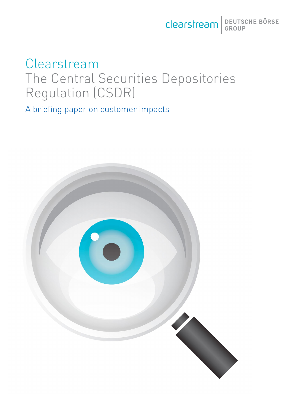Clearstream BEUTSCHE BÖRSE

# Clearstream The Central Securities Depositories Regulation (CSDR)

A briefing paper on customer impacts

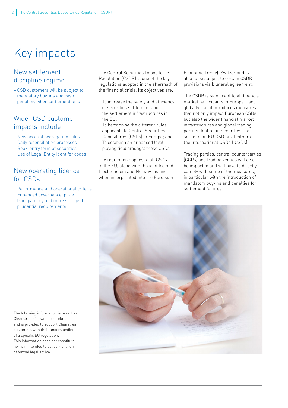# Key impacts

### New settlement discipline regime

– CSD customers will be subject to mandatory buy-ins and cash penalites when settlement fails

### Wider CSD customer impacts include

- New account segregation rules
- Daily reconciliation processes
- Book-entry form of securities
- Use of Legal Entity Identifer codes

### New operating licence for CSDs

- Performance and operational criteria
- Enhanced governance, price transparency and more stringent prudential requirements

The Central Securities Depositories Regulation (CSDR) is one of the key regulations adopted in the aftermath of the financial crisis. Its objectives are:

- To increase the safety and efficiency of securities settlement and the settlement infrastructures in the EU;
- To harmonise the different rules applicable to Central Securities Depositories (CSDs) in Europe; and
- To establish an enhanced level playing field amongst these CSDs.

The regulation applies to all CSDs in the EU, along with those of Iceland, Liechtenstein and Norway (as and when incorporated into the European

Economic Treaty). Switzerland is also to be subject to certain CSDR provisions via bilateral agreement.

The CSDR is significant to all financial market participants in Europe – and globally – as it introduces measures that not only impact European CSDs, but also the wider financial market infrastructures and global trading parties dealing in securities that settle in an EU CSD or at either of the international CSDs (ICSDs).

Trading parties, central counterparties (CCPs) and trading venues will also be impacted and will have to directly comply with some of the measures, in particular with the introduction of mandatory buy-ins and penalties for settlement failures.



The following information is based on Clearstream's own interpretations, and is provided to support Clearstream customers with their understanding of a specific EU regulation. This information does not constitute – nor is it intended to act as – any form of formal legal advice.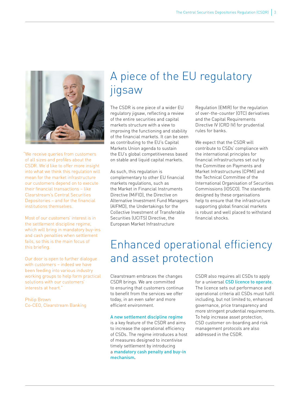

"We receive queries from customers of all sizes and profiles about the CSDR. We'd like to offer more insight into what we think this regulation will mean for the market infrastructure our customers depend on to execute their financial transactions – like Clearstream's Central Securities Depositories – and for the financial institutions themselves.

Most of our customers' interest is in the settlement discipline regime, which will bring in mandatory buy-ins and cash penalties when settlement fails, so this is the main focus of this briefing.

Our door is open to further dialogue with customers – indeed we have been feeding into various industry working groups to help form practical solutions with our customers' interests at heart.'

Philip Brown Co-CEO, Clearstream Banking

# A piece of the EU regulatory jigsaw

The CSDR is one piece of a wider EU regulatory jigsaw, reflecting a review of the entire securities and capital markets structure with a view to improving the functioning and stability of the financial markets. It can be seen as contributing to the EU's Capital Markets Union agenda to sustain the EU's global competitiveness based on stable and liquid capital markets.

As such, this regulation is complementary to other EU financial markets regulations, such as the Market in Financial Instruments Directive (MiFID), the Directive on Alternative Investment Fund Managers (AIFMD), the Undertakings for the Collective Investment of Transferable Securities (UCITS) Directive, the European Market Infrastructure

Regulation (EMIR) for the regulation of over-the-counter (OTC) derivatives and the Capital Requirements Directive IV (CRD IV) for prudential rules for banks.

We expect that the CSDR will contribute to CSDs' compliance with the international principles for financial infrastructures set out by the Committee on Payments and Market Infrastructures (CPMI) and the Technical Committee of the International Organisation of Securities Commissions (IOSCO). The standards designed by these organisations help to ensure that the infrastructure supporting global financial markets is robust and well placed to withstand financial shocks.

## Enhanced operational efficiency and asset protection

Clearstream embraces the changes CSDR brings. We are committed to ensuring that customers continue to benefit from the services we offer today, in an even safer and more efficient environment.

#### A new settlement discipline regime

is a key feature of the CSDR and aims to increase the operational efficiency of CSDs. The regime introduces a host of measures designed to incentivise timely settlement by introducing a mandatory cash penalty and buy-in mechanism.

CSDR also requires all CSDs to apply for a universal CSD licence to operate. The licence sets out performance and operational criteria all CSDs must fulfil including, but not limited to, enhanced governance, price transparency and more stringent prudential requirements. To help increase asset protection, CSD customer on-boarding and risk management protocols are also addressed in the CSDR.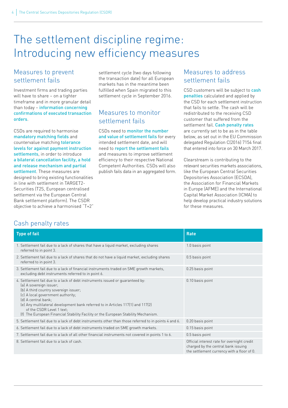## The settlement discipline regime: Introducing new efficiency measures

### Measures to prevent settlement fails

Investment firms and trading parties will have to share – on a tighter timeframe and in more granular detail than today – information concerning confirmations of executed transaction orders.

CSDs are required to harmonise mandatory matching fields and countervalue matching tolerance levels for against payment instruction settlements, in order to introduce a bilateral cancellation facility, a hold and release mechanism and partial settlement. These measures are designed to bring existing functionalities in line with settlement in TARGET2- Securities (T2S, European centralised settlement via the European Central Bank settlement platform). The CSDR objective to achieve a harmonised "T+2" settlement cycle (two days following the transaction date) for all European markets has in the meantime been fulfilled when Spain migrated to this settlement cycle in September 2016.

### Measures to monitor settlement fails

CSDs need to **monitor the number** and value of settlement fails for every intended settlement date, and will need to report the settlement fails and measures to improve settlement efficiency to their respective National Competent Authorities. CSDs will also publish fails data in an aggregated form.

### Measures to address settlement fails

CSD customers will be subject to cash penalties calculated and applied by the CSD for each settlement instruction that fails to settle. The cash will be redistributed to the receiving CSD customer that suffered from the settlement fail. Cash penalty rates are currently set to be as in the table below, as set out in the EU Commission delegated Regulation C(2016) 7154 final that entered into force on 30 March 2017.

Clearstream is contributing to the relevant securities markets associations, like the European Central Securities Depositories Association (ECSDA), the Association for Financial Markets in Europe (AFME) and the International Capital Market Association (ICMA) to help develop practical industry solutions for these measures.

### Cash penalty rates

| <b>Type of fail</b>                                                                                                                                                                                                                                                                                                                                                                                                 | <b>Rate</b>                                                                                                                      |
|---------------------------------------------------------------------------------------------------------------------------------------------------------------------------------------------------------------------------------------------------------------------------------------------------------------------------------------------------------------------------------------------------------------------|----------------------------------------------------------------------------------------------------------------------------------|
| 1. Settlement fail due to a lack of shares that have a liquid market, excluding shares<br>referred to in point 3.                                                                                                                                                                                                                                                                                                   | 1.0 basis point                                                                                                                  |
| 2. Settlement fail due to a lack of shares that do not have a liquid market, excluding shares<br>referred to in point 3.                                                                                                                                                                                                                                                                                            | 0.5 basis point                                                                                                                  |
| 3. Settlement fail due to a lack of financial instruments traded on SME growth markets,<br>excluding debt instruments referred to in point 6.                                                                                                                                                                                                                                                                       | 0.25 basis point                                                                                                                 |
| 4. Settlement fail due to a lack of debt instruments issued or quaranteed by:<br>(a) A sovereign issuer;<br>(b) A third country sovereign issuer;<br>(c) A local government authority;<br>(d) A central bank:<br>(e) Any multilateral development bank referred to in Articles 117(1) and 117(2)<br>of the CSDR Level 1 text;<br>(f) The European Financial Stability Facility or the European Stability Mechanism. | 0.10 basis point                                                                                                                 |
| 5. Settlement fail due to a lack of debt instruments other than those referred to in points 4 and 6.                                                                                                                                                                                                                                                                                                                | 0.20 basis point                                                                                                                 |
| 6. Settlement fail due to a lack of debt instruments traded on SME growth markets.                                                                                                                                                                                                                                                                                                                                  | 0.15 basis point                                                                                                                 |
| 7. Settlement fail due to a lack of all other financial instruments not covered in points 1 to 6.                                                                                                                                                                                                                                                                                                                   | 0.5 basis point                                                                                                                  |
| 8. Settlement fail due to a lack of cash.                                                                                                                                                                                                                                                                                                                                                                           | Official interest rate for overnight credit<br>charged by the central bank issuing<br>the settlement currency with a floor of 0. |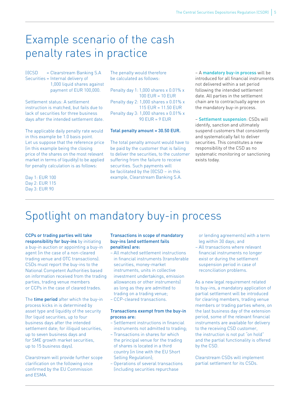## Example scenario of the cash penalty rates in practice

(I)CSD = Clearstream Banking S.A Securities = Internal delivery of 1,000 liquid shares against payment of EUR 100,000.

Settlement status: A settlement instruction is matched, but fails due to lack of securities for three business days after the intended settlement date.

The applicable daily penalty rate would in this example be 1.0 basis point. Let us suppose that the reference price (in this example being the closing price of the shares on the most relevant market in terms of liquidity) to be applied for penalty calculation is as follows:

Day 1: EUR 100 Day 2: EUR 115 Day 3: EUR 90

The penalty would therefore be calculated as follows:

Penalty day 1: 1,000 shares x 0.01% x 100 EUR = 10 EUR Penalty day 2: 1,000 shares x 0.01% x 115 EUR = 11.50 EUR Penalty day 3: 1,000 shares x 0.01% x 90 EUR = 9 EUR

#### Total penalty amount = 30.50 EUR.

The total penalty amount would have to be paid by the customer that is failing to deliver the securities, to the customer suffering from the failure to receive securities. Such payments will be facilitated by the (I)CSD – in this example, Clearstream Banking S.A.

– A mandatory buy-in process will be introduced for all financial instruments not delivered within a set period following the intended settlement date. All parties in the settlement chain are to contractually agree on the mandatory buy-in process.

– Settlement suspension: CSDs will identify, sanction and ultimately suspend customers that consistently and systematically fail to deliver securities. This constitutes a new responsibility of the CSD as no systematic monitoring or sanctioning exists today.

## Spotlight on mandatory buy-in process

CCPs or trading parties will take responsibility for buy-ins by initiating a buy-in auction or appointing a buy-in agent (in the case of a non-cleared trading venue and OTC transactions). CSDs must report the buy-ins to the National Competent Authorities based on information received from the trading parties, trading venue members or CCPs in the case of cleared trades.

The time period after which the buy-in process kicks in is determined by asset type and liquidity of the security (for liquid securities, up to four business days after the intended settlement date; for illiquid securities, up to seven business days and for SME growth market securities, up to 15 business days).

Clearstream will provide further scope clarification on the following once confirmed by the EU Commission and ESMA.

#### Transactions in scope of mandatory buy-ins (and settlement fails penalties) are:

- All matched settlement instructions in financial instruments (transferable securities, money-market instruments, units in collective investment undertakings, emission allowances or other instruments) as long as they are admitted to trading on a trading venue;
- CCP-cleared transactions.

#### Transactions exempt from the buy-in process are:

- Settlement instructions in financial instruments not admitted to trading;
- Transactions in shares for which the principal venue for the trading of shares is located in a third country (in line with the EU Short Selling Regulation);
- Operations of several transactions (including securities repurchase

or lending agreements) with a term leg within 30 days; and

– All transactions where relevant financial instruments no longer exist or during the settlement suspension period in case of reconciliation problems.

As a new legal requirement related to buy-ins, a mandatory application of partial settlement will be introduced for clearing members, trading venue members or trading parties where, on the last business day of the extension period, some of the relevant financial instruments are available for delivery to the receiving CSD customer, the instruction is not put "on hold" and the partial functionality is offered by the CSD.

Clearstream CSDs will implement partial settlement for its CSDs.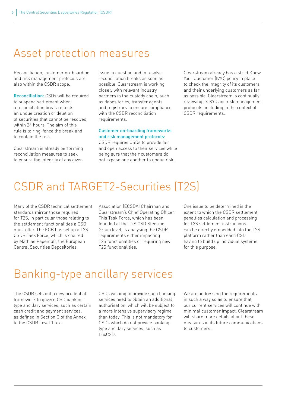## Asset protection measures

Reconciliation, customer on-boarding and risk management protocols are also within the CSDR scope.

Reconciliation: CSDs will be required to suspend settlement when a reconciliation break reflects an undue creation or deletion of securities that cannot be resolved within 24 hours. The aim of this rule is to ring-fence the break and to contain the risk.

Clearstream is already performing reconciliation measures to seek to ensure the integrity of any given

issue in question and to resolve reconciliation breaks as soon as possible. Clearstream is working closely with relevant industry partners in the custody chain, such as depositories, transfer agents and registrars to ensure compliance with the CSDR reconciliation requirements.

#### Customer on-boarding frameworks and risk management protocols:

CSDR requires CSDs to provide fair and open access to their services while being sure that their customers do not expose one another to undue risk.

Clearstream already has a strict Know Your Customer (KYC) policy in place to check the integrity of its customers and their underlying customers as far as possible. Clearstream is continually reviewing its KYC and risk management protocols, including in the context of CSDR requirements.

## CSDR and TARGET2-Securities (T2S)

Many of the CSDR technical settlement standards mirror those required for T2S, in particular those relating to the settlement functionalities a CSD must offer. The ECB has set up a T2S CSDR Task Force, which is chaired by Mathias Papenfuß, the European Central Securities Depositories

Association (ECSDA) Chairman and Clearstream's Chief Operating Officer. This Task Force, which has been founded at the T2S CSD Steering Group level, is analysing the CSDR requirements either impacting T2S functionalities or requiring new T2S functionalities.

One issue to be determined is the extent to which the CSDR settlement penalties calculation and processing for T2S settlement instructions can be directly embedded into the T2S platform rather than each CSD having to build up individual systems for this purpose.

## Banking-type ancillary services

The CSDR sets out a new prudential framework to govern CSD bankingtype ancillary services, such as certain cash credit and payment services, as defined in Section C of the Annex to the CSDR Level 1 text.

CSDs wishing to provide such banking services need to obtain an additional authorisation, which will be subject to a more intensive supervisory regime than today. This is not mandatory for CSDs which do not provide bankingtype ancillary services, such as LuxCSD.

We are addressing the requirements in such a way so as to ensure that our current services will continue with minimal customer impact. Clearstream will share more details about these measures in its future communications to customers.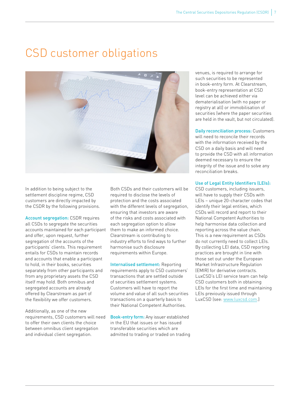# CSD customer obligations



In addition to being subject to the settlement discipline regime, CSD customers are directly impacted by the CSDR by the following provisions.

Account segregation: CSDR requires all CSDs to segregate the securities accounts maintained for each participant and offer, upon request, further segregation of the accounts of the participants' clients. This requirement entails for CSDs to maintain records and accounts that enable a participant to hold, in their books, securities separately from other participants and from any proprietary assets the CSD itself may hold. Both omnibus and segregated accounts are already offered by Clearstream as part of the flexibility we offer customers.

Additionally, as one of the new requirements, CSD customers will need to offer their own clients the choice between omnibus client segregation and individual client segregation.

Both CSDs and their customers will be required to disclose the levels of protection and the costs associated with the different levels of segregation, ensuring that investors are aware of the risks and costs associated with each segregation option to allow them to make an informed choice. Clearstream is contributing to industry efforts to find ways to further harmonise such disclosure requirements within Europe.

Internalised settlement: Reporting requirements apply to CSD customers' transactions that are settled outside of securities settlement systems. Customers will have to report the volume and value of all such securities transactions on a quarterly basis to their National Competent Authorities.

Book-entry form: Any issuer established in the EU that issues or has issued transferable securities which are admitted to trading or traded on trading venues, is required to arrange for such securities to be represented in book-entry form. At Clearstream, book-entry representation at CSD level can be achieved either via dematerialisation (with no paper or registry at all) or immobilisation of securities (where the paper securities are held in the vault, but not circulated).

Daily reconciliation process: Customers will need to reconcile their records with the information received by the CSD on a daily basis and will need to provide the CSD with all information deemed necessary to ensure the integrity of the issue and to solve any reconciliation breaks.

#### Use of Legal Entity Identifiers (LEIs):

CSD customers, including issuers, will have to supply their CSDs with LEIs – unique 20-character codes that identify their legal entities, which CSDs will record and report to their National Competent Authorities to help harmonise data collection and reporting across the value chain. This is a new requirement as CSDs do not currently need to collect LEIs. By collecting LEI data, CSD reporting practices are brought in line with those set out under the European Market Infrastructure Regulation (EMIR) for derivative contracts. LuxCSD's LEI service team can help CSD customers both in obtaining LEIs for the first time and maintaining LEIs previously issued through LuxCSD (see: [www.luxcsd.com](http://www.luxcsd.com/luxcsd-en/).)